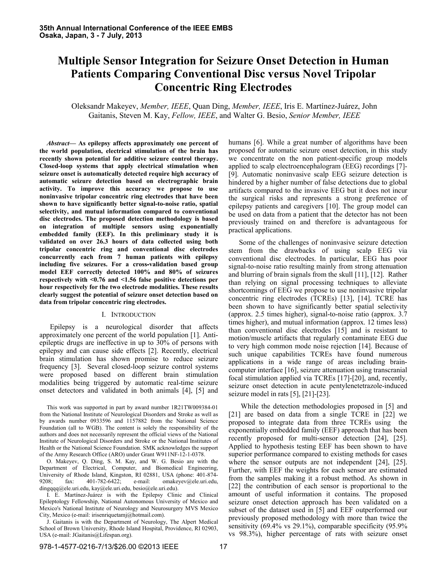# **Multiple Sensor Integration for Seizure Onset Detection in Human Patients Comparing Conventional Disc versus Novel Tripolar Concentric Ring Electrodes**

Oleksandr Makeyev, *Member, IEEE*, Quan Ding, *Member, IEEE*, Iris E. Martínez-Juárez, John Gaitanis, Steven M. Kay, *Fellow, IEEE*, and Walter G. Besio, *Senior Member, IEEE*

*Abstract***— As epilepsy affects approximately one percent of the world population, electrical stimulation of the brain has recently shown potential for additive seizure control therapy. Closed-loop systems that apply electrical stimulation when seizure onset is automatically detected require high accuracy of automatic seizure detection based on electrographic brain activity. To improve this accuracy we propose to use noninvasive tripolar concentric ring electrodes that have been shown to have significantly better signal-to-noise ratio, spatial selectivity, and mutual information compared to conventional disc electrodes. The proposed detection methodology is based on integration of multiple sensors using exponentially embedded family (EEF). In this preliminary study it is validated on over 26.3 hours of data collected using both tripolar concentric ring and conventional disc electrodes concurrently each from 7 human patients with epilepsy including five seizures. For a crossvalidation based group model EEF correctly detected 100% and 80% of seizures respectively with <0.76 and <1.56 false positive detections per hour respectively for the two electrode modalities. These results clearly suggest the potential of seizure onset detection based on data from tripolar concentric ring electrodes.** 

## I. INTRODUCTION

Epilepsy is a neurological disorder that affects approximately one percent of the world population [1]. Antiepileptic drugs are ineffective in up to 30% of persons with epilepsy and can cause side effects [2]. Recently, electrical brain stimulation has shown promise to reduce seizure frequency [3]. Several closed-loop seizure control systems were proposed based on different brain stimulation modalities being triggered by automatic real-time seizure onset detectors and validated in both animals [4], [5] and

This work was supported in part by award number 1R21TW009384-01 from the National Institute of Neurological Disorders and Stroke as well as by awards number 0933596 and 1157882 from the National Science Foundation (all to WGB). The content is solely the responsibility of the authors and does not necessarily represent the official views of the National Institute of Neurological Disorders and Stroke or the National Institutes of Health or the National Science Foundation. SMK acknowledges the support of the Army Research Office (ARO) under Grant W911NF-12-1-0378.

O. Makeyev, Q. Ding, S. M. Kay, and W. G. Besio are with the Department of Electrical, Computer, and Biomedical Engineering, University of Rhode Island, Kingston, RI 02881, USA (phone: 401-874-9208; fax: 401-782-6422; e-mail: omakeyev@ele.uri.edu, 9208; fax: 401-782-6422; e-mail: omakeyev@ele.uri.edu, dingqqq@ele.uri.edu, kay@ele.uri.edu, besio@ele.uri.edu).

I. E. Martínez-Juárez is with the Epilepsy Clinic and Clinical Epileptology Fellowship, National Autonomous University of Mexico and Mexico's National Institute of Neurology and Neurosurgery MVS Mexico City, Mexico (e-mail: irisenriquetamj@hotmail.com).

J. Gaitanis is with the Department of Neurology, The Alpert Medical School of Brown University, Rhode Island Hospital, Providence, RI 02903, USA (e-mail: JGaitanis@Lifespan.org).

humans [6]. While a great number of algorithms have been proposed for automatic seizure onset detection, in this study we concentrate on the non patient-specific group models applied to scalp electroencephalogram (EEG) recordings [7]- [9]. Automatic noninvasive scalp EEG seizure detection is hindered by a higher number of false detections due to global artifacts compared to the invasive EEG but it does not incur the surgical risks and represents a strong preference of epilepsy patients and caregivers [10]. The group model can be used on data from a patient that the detector has not been previously trained on and therefore is advantageous for practical applications.

Some of the challenges of noninvasive seizure detection stem from the drawbacks of using scalp EEG via conventional disc electrodes. In particular, EEG has poor signal-to-noise ratio resulting mainly from strong attenuation and blurring of brain signals from the skull [11], [12]. Rather than relying on signal processing techniques to alleviate shortcomings of EEG we propose to use noninvasive tripolar concentric ring electrodes (TCREs) [13], [14]. TCRE has been shown to have significantly better spatial selectivity (approx. 2.5 times higher), signal-to-noise ratio (approx. 3.7 times higher), and mutual information (approx. 12 times less) than conventional disc electrodes [15] and is resistant to motion/muscle artifacts that regularly contaminate EEG due to very high common mode noise rejection [14]. Because of such unique capabilities TCREs have found numerous applications in a wide range of areas including braincomputer interface [16], seizure attenuation using transcranial focal stimulation applied via TCREs [17]-[20], and, recently, seizure onset detection in acute pentylenetetrazole-induced seizure model in rats [5], [21]-[23].

 While the detection methodologies proposed in [5] and [21] are based on data from a single TCRE in [22] we proposed to integrate data from three TCREs using the exponentially embedded family (EEF) approach that has been recently proposed for multi-sensor detection [24], [25]. Applied to hypothesis testing EEF has been shown to have superior performance compared to existing methods for cases where the sensor outputs are not independent [24], [25]. Further, with EEF the weights for each sensor are estimated from the samples making it a robust method. As shown in [22] the contribution of each sensor is proportional to the amount of useful information it contains. The proposed seizure onset detection approach has been validated on a subset of the dataset used in [5] and EEF outperformed our previously proposed methodology with more than twice the sensitivity (69.4% vs 29.1%), comparable specificity (95.9% vs 98.3%), higher percentage of rats with seizure onset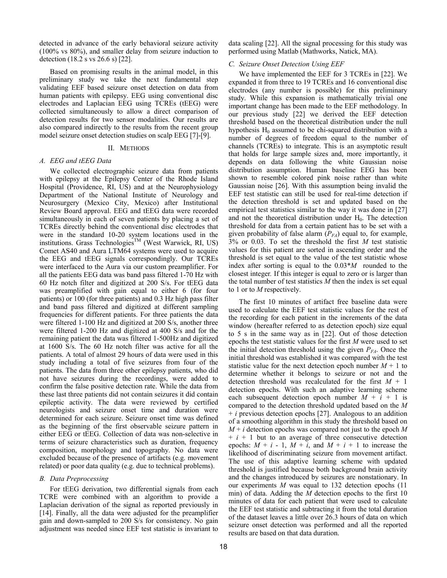detected in advance of the early behavioral seizure activity (100% vs 80%), and smaller delay from seizure induction to detection (18.2 s vs 26.6 s) [22].

Based on promising results in the animal model, in this preliminary study we take the next fundamental step validating EEF based seizure onset detection on data from human patients with epilepsy. EEG using conventional disc electrodes and Laplacian EEG using TCREs (tEEG) were collected simultaneously to allow a direct comparison of detection results for two sensor modalities. Our results are also compared indirectly to the results from the recent group model seizure onset detection studies on scalp EEG [7]-[9].

### II. METHODS

## *A. EEG and tEEG Data*

We collected electrographic seizure data from patients with epilepsy at the Epilepsy Center of the Rhode Island Hospital (Providence, RI, US) and at the Neurophysiology Department of the National Institute of Neurology and Neurosurgery (Mexico City, Mexico) after Institutional Review Board approval. EEG and tEEG data were recorded simultaneously in each of seven patients by placing a set of TCREs directly behind the conventional disc electrodes that were in the standard 10-20 system locations used in the institutions. Grass Technologies<sup>TM</sup> (West Warwick, RI, US) Comet AS40 and Aura LTM64 systems were used to acquire the EEG and tEEG signals correspondingly. Our TCREs were interfaced to the Aura via our custom preamplifier. For all the patients EEG data was band pass filtered 1-70 Hz with 60 Hz notch filter and digitized at 200 S/s. For tEEG data was preamplified with gain equal to either 6 (for four patients) or 100 (for three patients) and 0.3 Hz high pass filter and band pass filtered and digitized at different sampling frequencies for different patients. For three patients the data were filtered 1-100 Hz and digitized at 200 S/s, another three were filtered 1-200 Hz and digitized at 400 S/s and for the remaining patient the data was filtered 1-500Hz and digitized at 1600 S/s. The 60 Hz notch filter was active for all the patients. A total of almost 29 hours of data were used in this study including a total of five seizures from four of the patients. The data from three other epilepsy patients, who did not have seizures during the recordings, were added to confirm the false positive detection rate. While the data from these last three patients did not contain seizures it did contain epileptic activity. The data were reviewed by certified neurologists and seizure onset time and duration were determined for each seizure. Seizure onset time was defined as the beginning of the first observable seizure pattern in either EEG or tEEG. Collection of data was non-selective in terms of seizure characteristics such as duration, frequency composition, morphology and topography. No data were excluded because of the presence of artifacts (e.g. movement related) or poor data quality (e.g. due to technical problems).

# *B. Data Preprocessing*

For tEEG derivation, two differential signals from each TCRE were combined with an algorithm to provide a Laplacian derivation of the signal as reported previously in [14]. Finally, all the data were adjusted for the preamplifier gain and down-sampled to 200 S/s for consistency. No gain adjustment was needed since EEF test statistic is invariant to

data scaling [22]. All the signal processing for this study was performed using Matlab (Mathworks, Natick, MA).

## *C. Seizure Onset Detection Using EEF*

We have implemented the EEF for 3 TCREs in [22]. We expanded it from three to 19 TCREs and 16 conventional disc electrodes (any number is possible) for this preliminary study. While this expansion is mathematically trivial one important change has been made to the EEF methodology. In our previous study [22] we derived the EEF detection threshold based on the theoretical distribution under the null hypothesis  $H_0$  assumed to be chi-squared distribution with a number of degrees of freedom equal to the number of channels (TCREs) to integrate. This is an asymptotic result that holds for large sample sizes and, more importantly, it depends on data following the white Gaussian noise distribution assumption. Human baseline EEG has been shown to resemble colored pink noise rather than white Gaussian noise [26]. With this assumption being invalid the EEF test statistic can still be used for real-time detection if the detection threshold is set and updated based on the empirical test statistics similar to the way it was done in [27] and not the theoretical distribution under  $H_0$ . The detection threshold for data from a certain patient has to be set with a given probability of false alarm  $(P_{FA})$  equal to, for example, 3% or 0.03. To set the threshold the first *M* test statistic values for this patient are sorted in ascending order and the threshold is set equal to the value of the test statistic whose index after sorting is equal to the 0.03\**M* rounded to the closest integer*.* If this integer is equal to zero or is larger than the total number of test statistics *M* then the index is set equal to 1 or to *M* respectively.

The first 10 minutes of artifact free baseline data were used to calculate the EEF test statistic values for the rest of the recording for each patient in the increments of the data window (hereafter referred to as detection epoch) size equal to 5 s in the same way as in [22]. Out of those detection epochs the test statistic values for the first *M* were used to set the initial detection threshold using the given  $P_{FA}$ . Once the initial threshold was established it was compared with the test statistic value for the next detection epoch number  $M + 1$  to determine whether it belongs to seizure or not and the detection threshold was recalculated for the first *M* + 1 detection epochs. With such an adaptive learning scheme each subsequent detection epoch number  $M + i + 1$  is compared to the detection threshold updated based on the *M* + *i* previous detection epochs [27]. Analogous to an addition of a smoothing algorithm in this study the threshold based on  $M + i$  detection epochs was compared not just to the epoch M  $+ i + 1$  but to an average of three consecutive detection epochs:  $M + i - 1$ ,  $M + i$ , and  $M + i + 1$  to increase the likelihood of discriminating seizure from movement artifact. The use of this adaptive learning scheme with updated threshold is justified because both background brain activity and the changes introduced by seizures are nonstationary. In our experiments *M* was equal to 132 detection epochs (11 min) of data. Adding the *M* detection epochs to the first 10 minutes of data for each patient that were used to calculate the EEF test statistic and subtracting it from the total duration of the dataset leaves a little over 26.3 hours of data on which seizure onset detection was performed and all the reported results are based on that data duration.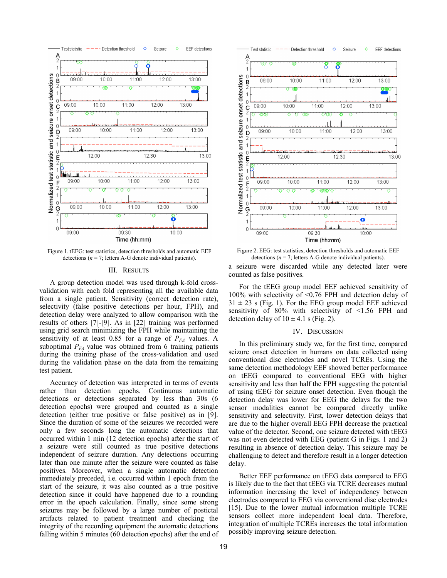

Figure 1. tEEG: test statistics, detection thresholds and automatic EEF detections ( $n = 7$ ; letters A-G denote individual patients).

#### III. RESULTS

A group detection model was used through k-fold crossvalidation with each fold representing all the available data from a single patient. Sensitivity (correct detection rate), selectivity (false positive detections per hour, FPH), and detection delay were analyzed to allow comparison with the results of others [7]-[9]. As in [22] training was performed using grid search minimizing the FPH while maintaining the sensitivity of at least  $0.85$  for a range of  $P_{FA}$  values. A suboptimal  $P_{FA}$  value was obtained from 6 training patients during the training phase of the cross-validation and used during the validation phase on the data from the remaining test patient.

Accuracy of detection was interpreted in terms of events rather than detection epochs. Continuous automatic detections or detections separated by less than 30s (6 detection epochs) were grouped and counted as a single detection (either true positive or false positive) as in [9]. Since the duration of some of the seizures we recorded were only a few seconds long the automatic detections that occurred within 1 min (12 detection epochs) after the start of a seizure were still counted as true positive detections independent of seizure duration. Any detections occurring later than one minute after the seizure were counted as false positives. Moreover, when a single automatic detection immediately preceded, i.e. occurred within 1 epoch from the start of the seizure, it was also counted as a true positive detection since it could have happened due to a rounding error in the epoch calculation. Finally, since some strong seizures may be followed by a large number of postictal artifacts related to patient treatment and checking the integrity of the recording equipment the automatic detections falling within 5 minutes (60 detection epochs) after the end of



Figure 2. EEG: test statistics, detection thresholds and automatic EEF detections ( $n = 7$ ; letters A-G denote individual patients).

a seizure were discarded while any detected later were counted as false positives.

For the tEEG group model EEF achieved sensitivity of 100% with selectivity of <0.76 FPH and detection delay of  $31 \pm 23$  s (Fig. 1). For the EEG group model EEF achieved sensitivity of 80% with selectivity of <1.56 FPH and detection delay of  $10 \pm 4.1$  s (Fig. 2).

#### IV. DISCUSSION

In this preliminary study we, for the first time, compared seizure onset detection in humans on data collected using conventional disc electrodes and novel TCREs. Using the same detection methodology EEF showed better performance on tEEG compared to conventional EEG with higher sensitivity and less than half the FPH suggesting the potential of using tEEG for seizure onset detection. Even though the detection delay was lower for EEG the delays for the two sensor modalities cannot be compared directly unlike sensitivity and selectivity. First, lower detection delays that are due to the higher overall EEG FPH decrease the practical value of the detector. Second, one seizure detected with tEEG was not even detected with EEG (patient G in Figs. 1 and 2) resulting in absence of detection delay. This seizure may be challenging to detect and therefore result in a longer detection delay.

Better EEF performance on tEEG data compared to EEG is likely due to the fact that tEEG via TCRE decreases mutual information increasing the level of independency between electrodes compared to EEG via conventional disc electrodes [15]. Due to the lower mutual information multiple TCRE sensors collect more independent local data. Therefore, integration of multiple TCREs increases the total information possibly improving seizure detection.